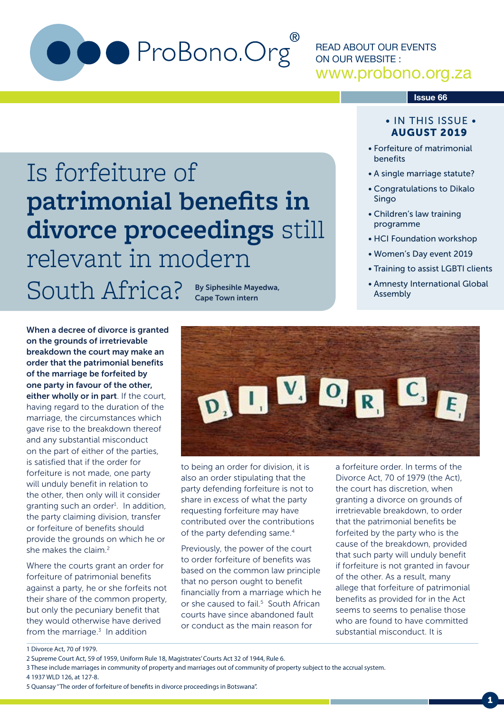

**patrimonial benefits in** 

relevant in modern

**divorce proceedings** still

READ ABOUT OUR EVENTS ON OUR WEBSITE : www.probono.org.za

#### **Issue 66**

#### • IN THIS ISSUE • AUGUST 2019

- Forfeiture of matrimonial benefits
- A single marriage statute?
- Congratulations to Dikalo Singo
- Children's law training programme
- HCI Foundation workshop
- Women's Day event 2019
- Training to assist LGBTI clients
- Amnesty International Global Assembly

When a decree of divorce is granted on the grounds of irretrievable breakdown the court may make an order that the patrimonial benefits of the marriage be forfeited by one party in favour of the other, either wholly or in part. If the court, having regard to the duration of the marriage, the circumstances which gave rise to the breakdown thereof and any substantial misconduct on the part of either of the parties, is satisfied that if the order for forfeiture is not made, one party will unduly benefit in relation to the other, then only will it consider granting such an order<sup>1</sup>. In addition, the party claiming division, transfer or forfeiture of benefits should provide the grounds on which he or she makes the claim.<sup>2</sup>

Is forfeiture of

Where the courts grant an order for forfeiture of patrimonial benefits against a party, he or she forfeits not their share of the common property, but only the pecuniary benefit that they would otherwise have derived from the marriage. $3$  In addition

South Africa? By Siphesihle Mayedwa, Cape Town intern



to being an order for division, it is also an order stipulating that the party defending forfeiture is not to share in excess of what the party requesting forfeiture may have contributed over the contributions of the party defending same.<sup>4</sup>

Previously, the power of the court to order forfeiture of benefits was based on the common law principle that no person ought to benefit financially from a marriage which he or she caused to fail.<sup>5</sup> South African courts have since abandoned fault or conduct as the main reason for

a forfeiture order. In terms of the Divorce Act, 70 of 1979 (the Act), the court has discretion, when granting a divorce on grounds of irretrievable breakdown, to order that the patrimonial benefits be forfeited by the party who is the cause of the breakdown, provided that such party will unduly benefit if forfeiture is not granted in favour of the other. As a result, many allege that forfeiture of patrimonial benefits as provided for in the Act seems to seems to penalise those who are found to have committed substantial misconduct. It is

<sup>1</sup> Divorce Act, 70 of 1979.

<sup>2</sup> Supreme Court Act, 59 of 1959, Uniform Rule 18, Magistrates' Courts Act 32 of 1944, Rule 6.

<sup>3</sup> These include marriages in community of property and marriages out of community of property subject to the accrual system. 4 1937 WLD 126, at 127-8.

<sup>5</sup> Quansay ''The order of forfeiture of benefits in divorce proceedings in Botswana''.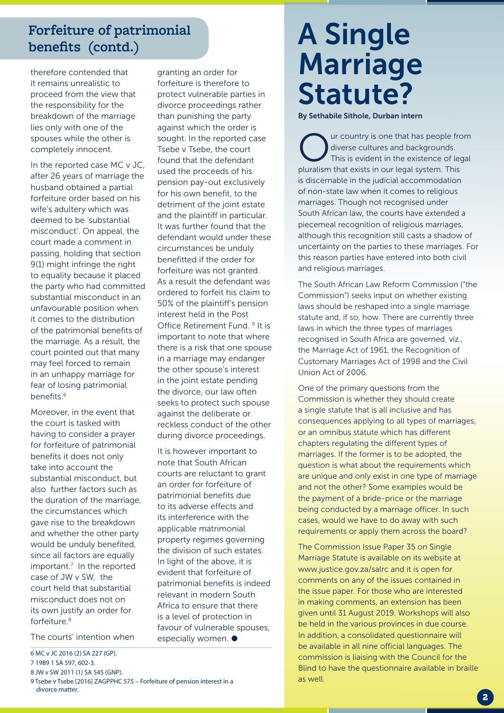### **Forfeiture of patrimonial benefits (contd.)**

therefore contended that it remains unrealistic to proceed from the view that the responsibility for the breakdown of the marriage lies only with one of the spouses while the other is completely innocent.

In the reported case MC v JC, after 26 years of marriage the husband obtained a partial forfeiture order based on his wife's adultery which was deemed to be 'substantial misconduct'. On appeal, the court made a comment in passing, holding that section 9(1) might infringe the right to equality because it placed the party who had committed substantial misconduct in an unfavourable position when it comes to the distribution of the patrimonial benefits of the marriage. As a result, the court pointed out that many may feel forced to remain in an unhappy marriage for fear of losing patrimonial benefits.6

Moreover, in the event that the court is tasked with having to consider a prayer for forfeiture of patrimonial benefits it does not only take into account the substantial misconduct, but also further factors such as the duration of the marriage, the circumstances which gave rise to the breakdown and whether the other party would be unduly benefited, since all factors are equally important.7 In the reported case of JW v SW, the court held that substantial misconduct does not on its own justify an order for forfeiture $8$ 

The courts' intention when

- 6 MC v JC 2016 (2) SA 227 (GP).
- 7 1989 1 SA 597, 602-3.
- 8 JW v SW 2011 (1) SA 545 (GNP).
- 9 Tsebe v Tsebe [2016] ZAGPPHC 575 Forfeiture of pension interest in a divorce matter.

granting an order for forfeiture is therefore to protect vulnerable parties in divorce proceedings rather than punishing the party against which the order is sought. In the reported case Tsebe v Tsebe, the court found that the defendant used the proceeds of his pension pay-out exclusively for his own benefit, to the detriment of the joint estate and the plaintiff in particular. It was further found that the defendant would under these circumstances be unduly benefitted if the order for forfeiture was not granted. As a result the defendant was ordered to forfeit his claim to 50% of the plaintiff's pension interest held in the Post Office Retirement Fund. 9 It is important to note that where there is a risk that one spouse in a marriage may endanger the other spouse's interest in the joint estate pending the divorce, our law often seeks to protect such spouse against the deliberate or reckless conduct of the other during divorce proceedings.

It is however important to note that South African courts are reluctant to grant an order for forfeiture of patrimonial benefits due to its adverse effects and its interference with the applicable matrimonial property regimes governing the division of such estates. In light of the above, it is evident that forfeiture of patrimonial benefits is indeed relevant in modern South Africa to ensure that there is a level of protection in favour of vulnerable spouses, especially women.  $\bullet$ 

# A Single Marriage Statute?

By Sethabile Sithole, Durban intern

ur country is one that has people from diverse cultures and backgrounds. This is evident in the existence of legal pluralism that exists in our legal system. This is discernable in the judicial accommodation of non-state law when it comes to religious marriages. Though not recognised under South African law, the courts have extended a piecemeal recognition of religious marriages, although this recognition still casts a shadow of uncertainty on the parties to these marriages. For this reason parties have entered into both civil and religious marriages.

The South African Law Reform Commission ("the Commission") seeks input on whether existing laws should be reshaped into a single marriage statute and, if so, how. There are currently three laws in which the three types of marriages recognised in South Africa are governed, viz., the Marriage Act of 1961, the Recognition of Customary Marriages Act of 1998 and the Civil Union Act of 2006.

One of the primary questions from the Commission is whether they should create a single statute that is all inclusive and has consequences applying to all types of marriages, or an omnibus statute which has different chapters regulating the different types of marriages. If the former is to be adopted, the question is what about the requirements which are unique and only exist in one type of marriage and not the other? Some examples would be the payment of a bride-price or the marriage being conducted by a marriage officer. In such cases, would we have to do away with such requirements or apply them across the board?

The Commission Issue Paper 35 on Single Marriage Statute is available on its website at www.justice.gov.za/salrc and it is open for comments on any of the issues contained in the issue paper. For those who are interested in making comments, an extension has been given until 31 August 2019. Workshops will also be held in the various provinces in due course. In addition, a consolidated questionnaire will be available in all nine official languages. The commission is liaising with the Council for the Blind to have the questionnaire available in braille as well.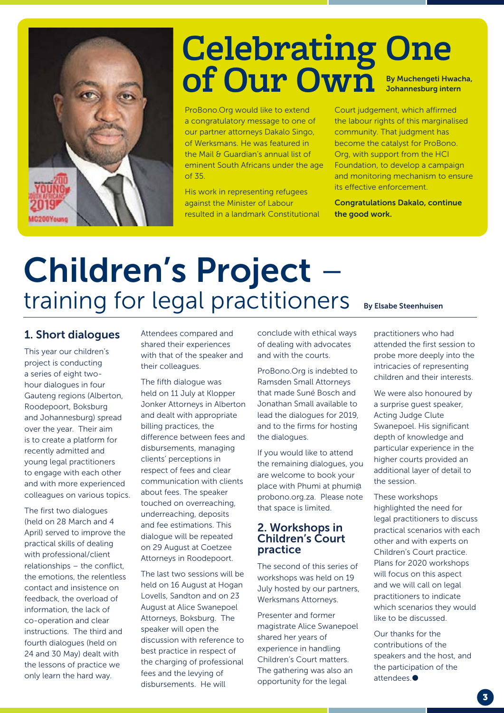

### By Muchengeti Hwacha, Johannesburg intern **Celebrating One of Our Own**

ProBono.Org would like to extend a congratulatory message to one of our partner attorneys Dakalo Singo, of Werksmans. He was featured in the Mail & Guardian's annual list of eminent South Africans under the age of 35.

His work in representing refugees against the Minister of Labour resulted in a landmark Constitutional Court judgement, which affirmed the labour rights of this marginalised community. That judgment has become the catalyst for ProBono. Org, with support from the HCI Foundation, to develop a campaign and monitoring mechanism to ensure its effective enforcement.

Congratulations Dakalo, continue the good work.

# Children's Project –<br>training for legal practitioners

#### 1. Short dialogues

This year our children's project is conducting a series of eight twohour dialogues in four Gauteng regions (Alberton, Roodepoort, Boksburg and Johannesburg) spread over the year. Their aim is to create a platform for recently admitted and young legal practitioners to engage with each other and with more experienced colleagues on various topics.

The first two dialogues (held on 28 March and 4 April) served to improve the practical skills of dealing with professional/client relationships – the conflict, the emotions, the relentless contact and insistence on feedback, the overload of information, the lack of co-operation and clear instructions. The third and fourth dialogues (held on 24 and 30 May) dealt with the lessons of practice we only learn the hard way.

Attendees compared and shared their experiences with that of the speaker and their colleagues.

The fifth dialogue was held on 11 July at Klopper Jonker Attorneys in Alberton and dealt with appropriate billing practices, the difference between fees and disbursements, managing clients' perceptions in respect of fees and clear communication with clients about fees. The speaker touched on overreaching, underreaching, deposits and fee estimations. This dialogue will be repeated on 29 August at Coetzee Attorneys in Roodepoort.

The last two sessions will be held on 16 August at Hogan Lovells, Sandton and on 23 August at Alice Swanepoel Attorneys, Boksburg. The speaker will open the discussion with reference to best practice in respect of the charging of professional fees and the levying of disbursements. He will

conclude with ethical ways of dealing with advocates and with the courts.

ProBono.Org is indebted to Ramsden Small Attorneys that made Suné Bosch and Jonathan Small available to lead the dialogues for 2019, and to the firms for hosting the dialogues.

If you would like to attend the remaining dialogues, you are welcome to book your place with Phumi at phumi@ probono.org.za. Please note that space is limited.

#### 2. Workshops in Children's Court practice

The second of this series of workshops was held on 19 July hosted by our partners, Werksmans Attorneys.

Presenter and former magistrate Alice Swanepoel shared her years of experience in handling Children's Court matters. The gathering was also an opportunity for the legal

#### By Elsabe Steenhuisen

practitioners who had attended the first session to probe more deeply into the intricacies of representing children and their interests.

We were also honoured by a surprise guest speaker, Acting Judge Clute Swanepoel. His significant depth of knowledge and particular experience in the higher courts provided an additional layer of detail to the session.

These workshops highlighted the need for legal practitioners to discuss practical scenarios with each other and with experts on Children's Court practice. Plans for 2020 workshops will focus on this aspect and we will call on legal practitioners to indicate which scenarios they would like to be discussed.

Our thanks for the contributions of the speakers and the host, and the participation of the attendees.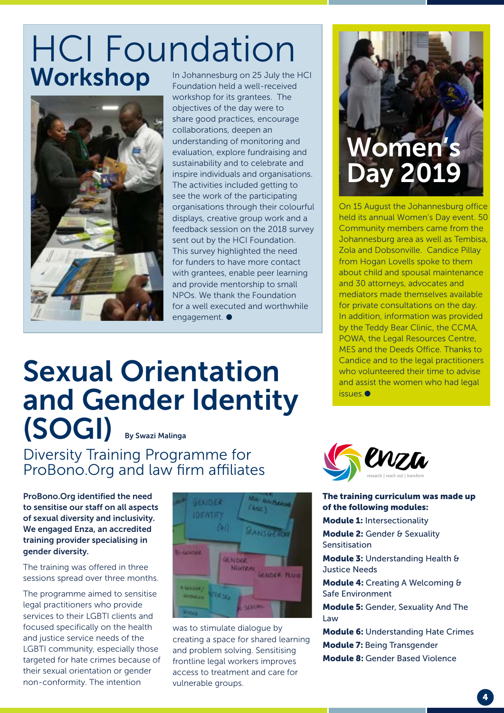## HCI Foundation Workshop In Johannesburg on 25 July the HCI



Foundation held a well-received workshop for its grantees. The objectives of the day were to share good practices, encourage collaborations, deepen an understanding of monitoring and evaluation, explore fundraising and sustainability and to celebrate and inspire individuals and organisations. The activities included getting to see the work of the participating organisations through their colourful displays, creative group work and a feedback session on the 2018 survey sent out by the HCI Foundation. This survey highlighted the need for funders to have more contact with grantees, enable peer learning and provide mentorship to small NPOs. We thank the Foundation for a well executed and worthwhile engagement.  $\bullet$ 

## Sexual Orientation and Gender Identity (SOGI) By Swazi Malinga

Diversity Training Programme for ProBono.Org and law firm affiliates

ProBono.Org identified the need to sensitise our staff on all aspects of sexual diversity and inclusivity. We engaged Enza, an accredited training provider specialising in gender diversity.

The training was offered in three sessions spread over three months.

The programme aimed to sensitise legal practitioners who provide services to their LGBTI clients and focused specifically on the health and justice service needs of the LGBTI community, especially those targeted for hate crimes because of their sexual orientation or gender non-conformity. The intention



was to stimulate dialogue by creating a space for shared learning and problem solving. Sensitising frontline legal workers improves access to treatment and care for vulnerable groups.

# Women's Day 2019

On 15 August the Johannesburg office held its annual Women's Day event. 50 Community members came from the Johannesburg area as well as Tembisa, Zola and Dobsonville. Candice Pillay from Hogan Lovells spoke to them about child and spousal maintenance and 30 attorneys, advocates and mediators made themselves available for private consultations on the day. In addition, information was provided by the Teddy Bear Clinic, the CCMA, POWA, the Legal Resources Centre, MES and the Deeds Office. Thanks to Candice and to the legal practitioners who volunteered their time to advise and assist the women who had legal issues.



The training curriculum was made up of the following modules:

Module 1: Intersectionality

Module 2: Gender & Sexuality Sensitisation

Module 3: Understanding Health & Justice Needs

Module 4: Creating A Welcoming & Safe Environment

Module 5: Gender, Sexuality And The Law

Module 6: Understanding Hate Crimes Module 7: Being Transgender Module 8: Gender Based Violence